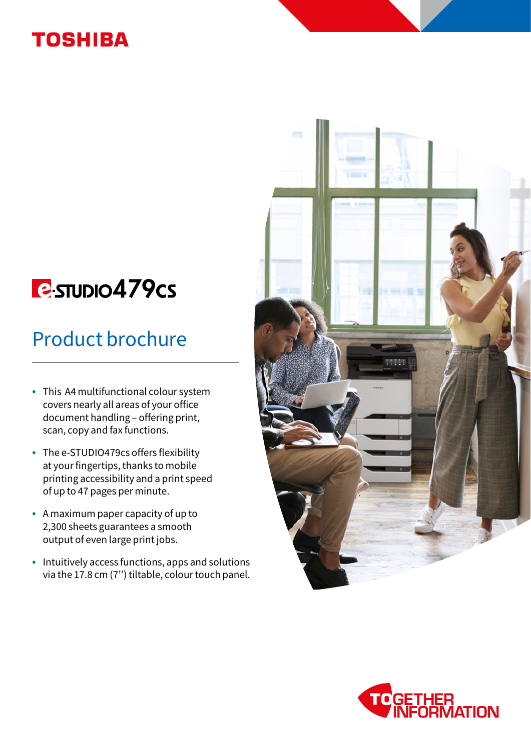## **TOSHIBA**

# **E**sTUDIO479cs

# Product brochure

- This A4 multifunctional colour system covers nearly all areas of your office document handling – offering print, scan, copy and fax functions.
- The e-STUDIO479cs offers flexibility at your fingertips, thanks to mobile printing accessibility and a print speed of up to 47 pages per minute.
- A maximum paper capacity of up to 2,300 sheets guarantees a smooth output of even large print jobs.
- Intuitively access functions, apps and solutions via the 17.8 cm (7'') tiltable, colour touch panel.



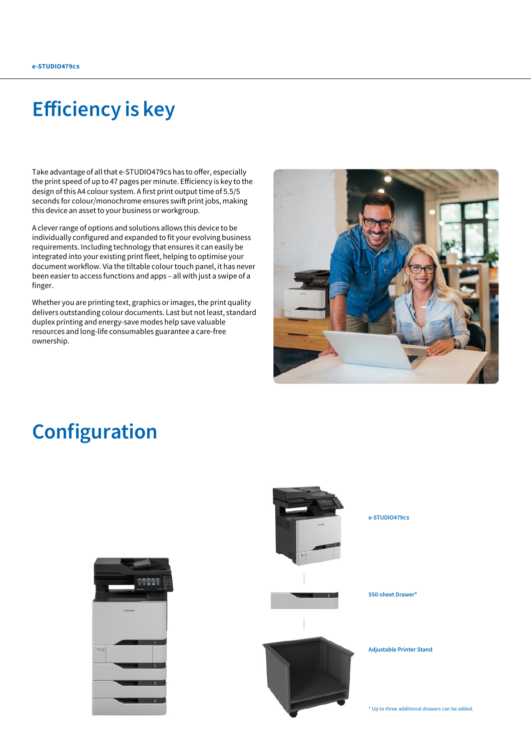## Efficiency is key

Take advantage of all that e-STUDIO479cs has to offer, especially the print speed of up to 47 pages per minute. Efficiency is key to the design of this A4 colour system. A first print output time of 5.5/5 seconds for colour/monochrome ensures swift print jobs, making this device an asset to your business or workgroup.

A clever range of options and solutions allows this device to be individually configured and expanded to fit your evolving business requirements. Including technology that ensures it can easily be integrated into your existing print fleet, helping to optimise your document workflow. Via the tiltable colour touch panel, it has never been easier to access functions and apps – all with just a swipe of a finger.

Whether you are printing text, graphics or images, the print quality delivers outstanding colour documents. Last but not least, standard duplex printing and energy-save modes help save valuable resources and long-life consumables guarantee a care-free ownership.



## Configuration

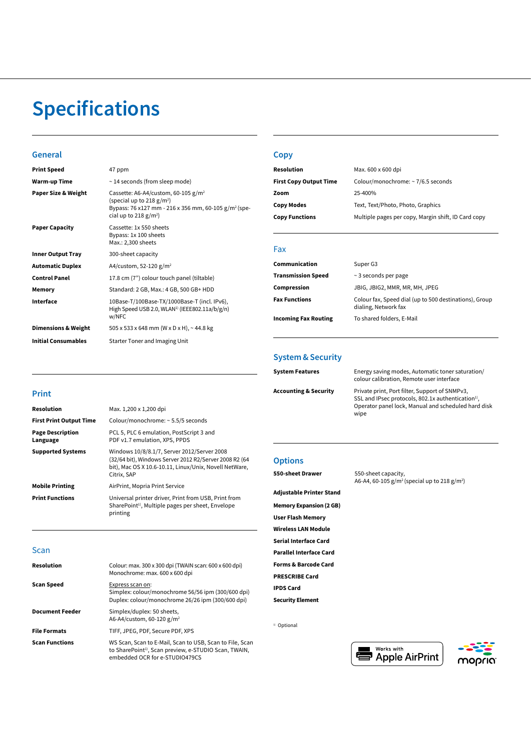# Specifications

#### General

| <b>Print Speed</b>             | 47 ppm                                                                                                                                                                 |
|--------------------------------|------------------------------------------------------------------------------------------------------------------------------------------------------------------------|
| Warm-up Time                   | ~14 seconds (from sleep mode)                                                                                                                                          |
| Paper Size & Weight            | Cassette: A6-A4/custom, 60-105 $g/m^2$<br>(special up to 218 $g/m^2$ )<br>Bypass: 76 x127 mm - 216 x 356 mm, 60-105 g/m <sup>2</sup> (spe-<br>cial up to 218 $g/m^2$ ) |
| <b>Paper Capacity</b>          | Cassette: 1x 550 sheets<br>Bypass: 1x 100 sheets<br>Max.: 2,300 sheets                                                                                                 |
| <b>Inner Output Tray</b>       | 300-sheet capacity                                                                                                                                                     |
| <b>Automatic Duplex</b>        | A4/custom, 52-120 $g/m^2$                                                                                                                                              |
| <b>Control Panel</b>           | 17.8 cm (7") colour touch panel (tiltable)                                                                                                                             |
| Memory                         | Standard: 2 GB, Max.: 4 GB, 500 GB+ HDD                                                                                                                                |
| Interface                      | 10Base-T/100Base-TX/1000Base-T (incl. IPv6),<br>High Speed USB 2.0, WLAN <sup>1)</sup> (IEEE802.11a/b/g/n)<br>w/NFC                                                    |
| <b>Dimensions &amp; Weight</b> | 505 x 533 x 648 mm (W x D x H), ~ 44.8 kg                                                                                                                              |
| <b>Initial Consumables</b>     | Starter Toner and Imaging Unit                                                                                                                                         |
|                                |                                                                                                                                                                        |

#### **Copy**

| Resolution                    | Max. 600 x 600 dpi                                  |
|-------------------------------|-----------------------------------------------------|
| <b>First Copy Output Time</b> | Colour/monochrome: ~ 7/6.5 seconds                  |
| Zoom                          | 25-400%                                             |
| <b>Copy Modes</b>             | Text, Text/Photo, Photo, Graphics                   |
| <b>Copy Functions</b>         | Multiple pages per copy, Margin shift, ID Card copy |

#### Fax

| Communication               | Super G3                                                                       |
|-----------------------------|--------------------------------------------------------------------------------|
| <b>Transmission Speed</b>   | $\sim$ 3 seconds per page                                                      |
| Compression                 | JBIG, JBIG2, MMR, MR, MH, JPEG                                                 |
| <b>Fax Functions</b>        | Colour fax, Speed dial (up to 500 destinations), Group<br>dialing, Network fax |
| <b>Incoming Fax Routing</b> | To shared folders, E-Mail                                                      |

### System & Security

| <b>System Features</b> | Energy saving modes, Automatic toner saturation/<br>colour calibration, Remote user interface                                                                                   |
|------------------------|---------------------------------------------------------------------------------------------------------------------------------------------------------------------------------|
| Accounting & Security  | Private print, Port filter, Support of SNMPv3,<br>SSL and IPsec protocols, 802.1x authentication <sup>1)</sup> ,<br>Operator panel lock, Manual and scheduled hard disk<br>wipe |

### **Options**

| 550-sheet Drawer                | 550-sheet capacity,                                                  |
|---------------------------------|----------------------------------------------------------------------|
|                                 | A6-A4, 60-105 g/m <sup>2</sup> (special up to 218 g/m <sup>2</sup> ) |
| <b>Adjustable Printer Stand</b> |                                                                      |
| <b>Memory Expansion (2 GB)</b>  |                                                                      |
| <b>User Flash Memory</b>        |                                                                      |
| <b>Wireless LAN Module</b>      |                                                                      |
| <b>Serial Interface Card</b>    |                                                                      |
| <b>Parallel Interface Card</b>  |                                                                      |
| <b>Forms &amp; Barcode Card</b> |                                                                      |
| <b>PRESCRIBE Card</b>           |                                                                      |
| <b>IPDS Card</b>                |                                                                      |
| <b>Security Element</b>         |                                                                      |

<sup>1)</sup> Optional

| Works with              |  |
|-------------------------|--|
| <b>D</b> Apple AirPrint |  |



### Print

| Resolution                          | Max. 1,200 x 1,200 dpi                                                                                                                                                         |
|-------------------------------------|--------------------------------------------------------------------------------------------------------------------------------------------------------------------------------|
| <b>First Print Output Time</b>      | Colour/monochrome: ~ 5.5/5 seconds                                                                                                                                             |
| <b>Page Description</b><br>Language | PCL 5, PLC 6 emulation, PostScript 3 and<br>PDF v1.7 emulation, XPS, PPDS                                                                                                      |
| <b>Supported Systems</b>            | Windows 10/8/8.1/7, Server 2012/Server 2008<br>(32/64 bit), Windows Server 2012 R2/Server 2008 R2 (64<br>bit), Mac OS X 10.6-10.11, Linux/Unix, Novell NetWare,<br>Citrix, SAP |
| <b>Mobile Printing</b>              | AirPrint, Mopria Print Service                                                                                                                                                 |
| <b>Print Functions</b>              | Universal printer driver, Print from USB, Print from<br>SharePoint <sup>1)</sup> , Multiple pages per sheet, Envelope<br>printing                                              |

#### Scan

| <b>Resolution</b>      | Colour: max. 300 x 300 dpi (TWAIN scan: 600 x 600 dpi)<br>Monochrome: max. 600 x 600 dpi                                                                        |
|------------------------|-----------------------------------------------------------------------------------------------------------------------------------------------------------------|
| <b>Scan Speed</b>      | Express scan on:<br>Simplex: colour/monochrome 56/56 ipm (300/600 dpi)<br>Duplex: colour/monochrome 26/26 ipm (300/600 dpi)                                     |
| <b>Document Feeder</b> | Simplex/duplex: 50 sheets,<br>A6-A4/custom, 60-120 $g/m^2$                                                                                                      |
| <b>File Formats</b>    | TIFF, JPEG, PDF, Secure PDF, XPS                                                                                                                                |
| <b>Scan Functions</b>  | WS Scan, Scan to E-Mail, Scan to USB, Scan to File, Scan<br>to SharePoint <sup>1)</sup> , Scan preview, e-STUDIO Scan, TWAIN,<br>embedded OCR for e-STUDIO479CS |